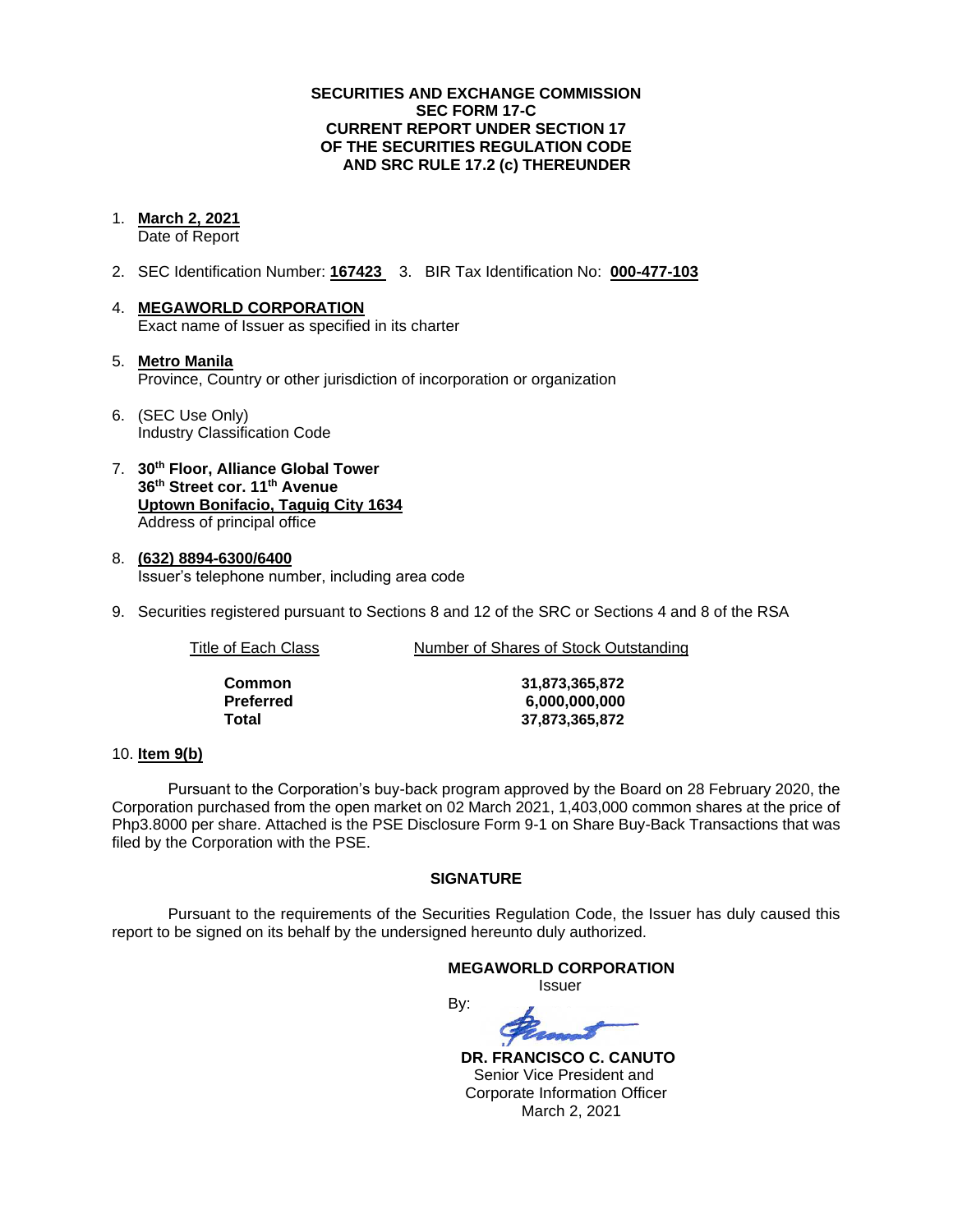### **SECURITIES AND EXCHANGE COMMISSION SEC FORM 17-C CURRENT REPORT UNDER SECTION 17 OF THE SECURITIES REGULATION CODE AND SRC RULE 17.2 (c) THEREUNDER**

1. **March 2, 2021**

Date of Report

- 2. SEC Identification Number: **167423** 3. BIR Tax Identification No: **000-477-103**
- 4. **MEGAWORLD CORPORATION** Exact name of Issuer as specified in its charter
- 5. **Metro Manila** Province, Country or other jurisdiction of incorporation or organization
- 6. (SEC Use Only) Industry Classification Code
- 7. **30th Floor, Alliance Global Tower 36th Street cor. 11th Avenue Uptown Bonifacio, Taguig City 1634** Address of principal office
- 8. **(632) 8894-6300/6400** Issuer's telephone number, including area code
- 9. Securities registered pursuant to Sections 8 and 12 of the SRC or Sections 4 and 8 of the RSA

Title of Each Class Number of Shares of Stock Outstanding

| Common    |  |
|-----------|--|
| Preferred |  |
| Total     |  |

**Common 31,873,365,872 Preferred 6,000,000,000 Total 37,873,365,872**

### 10. **Item 9(b)**

Pursuant to the Corporation's buy-back program approved by the Board on 28 February 2020, the Corporation purchased from the open market on 02 March 2021, 1,403,000 common shares at the price of Php3.8000 per share. Attached is the PSE Disclosure Form 9-1 on Share Buy-Back Transactions that was filed by the Corporation with the PSE.

### **SIGNATURE**

Pursuant to the requirements of the Securities Regulation Code, the Issuer has duly caused this report to be signed on its behalf by the undersigned hereunto duly authorized.

By:

### **MEGAWORLD CORPORATION**

Issuer

 **DR. FRANCISCO C. CANUTO** Senior Vice President and Corporate Information Officer March 2, 2021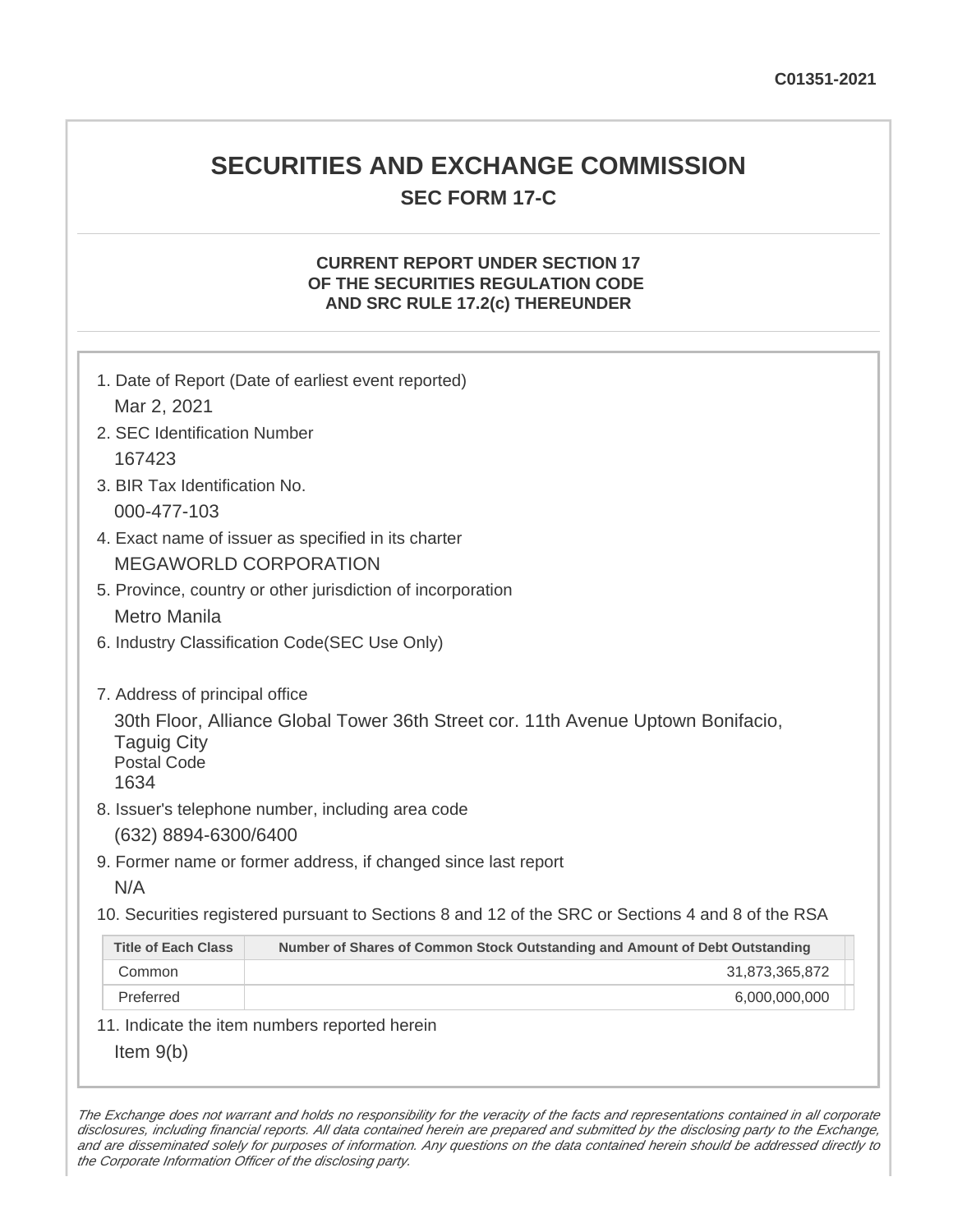## **SECURITIES AND EXCHANGE COMMISSION SEC FORM 17-C**

## **CURRENT REPORT UNDER SECTION 17 OF THE SECURITIES REGULATION CODE AND SRC RULE 17.2(c) THEREUNDER**

|                                                                                                                   | 1. Date of Report (Date of earliest event reported)                                                                                                                                                     |
|-------------------------------------------------------------------------------------------------------------------|---------------------------------------------------------------------------------------------------------------------------------------------------------------------------------------------------------|
| Mar 2, 2021                                                                                                       |                                                                                                                                                                                                         |
| 2. SEC Identification Number                                                                                      |                                                                                                                                                                                                         |
| 167423                                                                                                            |                                                                                                                                                                                                         |
| 3. BIR Tax Identification No.                                                                                     |                                                                                                                                                                                                         |
| 000-477-103                                                                                                       |                                                                                                                                                                                                         |
|                                                                                                                   | 4. Exact name of issuer as specified in its charter                                                                                                                                                     |
| <b>MEGAWORLD CORPORATION</b>                                                                                      |                                                                                                                                                                                                         |
|                                                                                                                   | 5. Province, country or other jurisdiction of incorporation                                                                                                                                             |
| <b>Metro Manila</b>                                                                                               |                                                                                                                                                                                                         |
|                                                                                                                   | 6. Industry Classification Code(SEC Use Only)                                                                                                                                                           |
| 7. Address of principal office<br><b>Taguig City</b><br><b>Postal Code</b><br>1634<br>(632) 8894-6300/6400<br>N/A | 30th Floor, Alliance Global Tower 36th Street cor. 11th Avenue Uptown Bonifacio,<br>8. Issuer's telephone number, including area code<br>9. Former name or former address, if changed since last report |
|                                                                                                                   | 10. Securities registered pursuant to Sections 8 and 12 of the SRC or Sections 4 and 8 of the RSA                                                                                                       |
| <b>Title of Each Class</b>                                                                                        | Number of Shares of Common Stock Outstanding and Amount of Debt Outstanding                                                                                                                             |
| Common                                                                                                            | 31,873,365,872                                                                                                                                                                                          |
| Preferred                                                                                                         | 6,000,000,000                                                                                                                                                                                           |
|                                                                                                                   | 11. Indicate the item numbers reported herein                                                                                                                                                           |
| Item $9(b)$                                                                                                       |                                                                                                                                                                                                         |

The Exchange does not warrant and holds no responsibility for the veracity of the facts and representations contained in all corporate disclosures, including financial reports. All data contained herein are prepared and submitted by the disclosing party to the Exchange, and are disseminated solely for purposes of information. Any questions on the data contained herein should be addressed directly to the Corporate Information Officer of the disclosing party.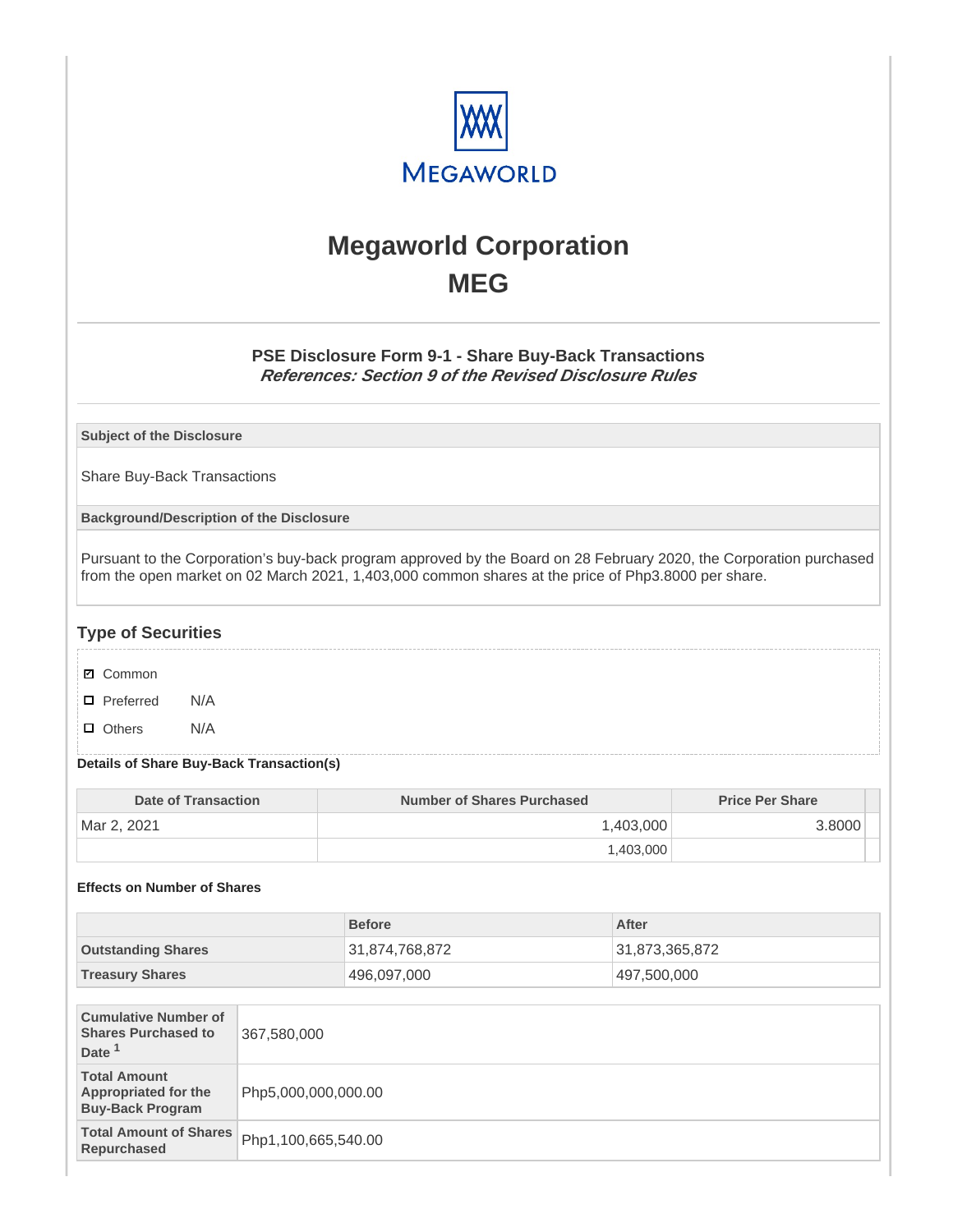

# **Megaworld Corporation MEG**

## **PSE Disclosure Form 9-1 - Share Buy-Back Transactions References: Section 9 of the Revised Disclosure Rules**

**Subject of the Disclosure**

Share Buy-Back Transactions

**Background/Description of the Disclosure**

Pursuant to the Corporation's buy-back program approved by the Board on 28 February 2020, the Corporation purchased from the open market on 02 March 2021, 1,403,000 common shares at the price of Php3.8000 per share.

## **Type of Securities**

**☑** Common

□ Preferred N/A

D Others N/A

### **Details of Share Buy-Back Transaction(s)**

| Date of Transaction | Number of Shares Purchased | <b>Price Per Share</b> |  |
|---------------------|----------------------------|------------------------|--|
| Mar 2, 2021         | 1,403,000                  | 3.8000                 |  |
|                     | 1,403,000                  |                        |  |

### **Effects on Number of Shares**

|                           | <b>Before</b>  | After          |
|---------------------------|----------------|----------------|
| <b>Outstanding Shares</b> | 31,874,768,872 | 31,873,365,872 |
| <b>Treasury Shares</b>    | 496,097,000    | 497,500,000    |

| <b>Cumulative Number of</b><br><b>Shares Purchased to</b><br>Date <sup>1</sup> | 367,580,000         |
|--------------------------------------------------------------------------------|---------------------|
| <b>Total Amount</b><br><b>Appropriated for the</b><br><b>Buy-Back Program</b>  | Php5,000,000,000.00 |
| <b>Total Amount of Shares</b><br>Repurchased                                   | Php1,100,665,540.00 |